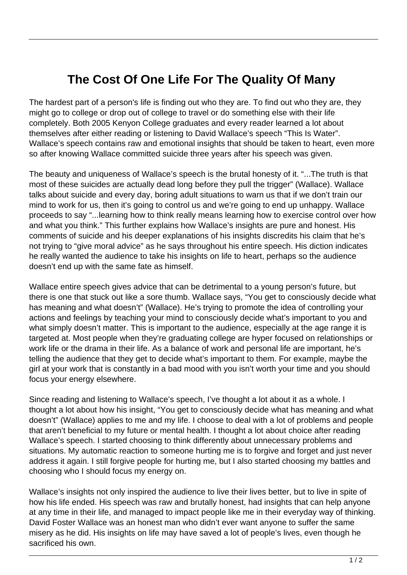## **The Cost Of One Life For The Quality Of Many**

The hardest part of a person's life is finding out who they are. To find out who they are, they might go to college or drop out of college to travel or do something else with their life completely. Both 2005 Kenyon College graduates and every reader learned a lot about themselves after either reading or listening to David Wallace's speech "This Is Water". Wallace's speech contains raw and emotional insights that should be taken to heart, even more so after knowing Wallace committed suicide three years after his speech was given.

The beauty and uniqueness of Wallace's speech is the brutal honesty of it. "...The truth is that most of these suicides are actually dead long before they pull the trigger" (Wallace). Wallace talks about suicide and every day, boring adult situations to warn us that if we don't train our mind to work for us, then it's going to control us and we're going to end up unhappy. Wallace proceeds to say "...learning how to think really means learning how to exercise control over how and what you think." This further explains how Wallace's insights are pure and honest. His comments of suicide and his deeper explanations of his insights discredits his claim that he's not trying to "give moral advice" as he says throughout his entire speech. His diction indicates he really wanted the audience to take his insights on life to heart, perhaps so the audience doesn't end up with the same fate as himself.

Wallace entire speech gives advice that can be detrimental to a young person's future, but there is one that stuck out like a sore thumb. Wallace says, "You get to consciously decide what has meaning and what doesn't" (Wallace). He's trying to promote the idea of controlling your actions and feelings by teaching your mind to consciously decide what's important to you and what simply doesn't matter. This is important to the audience, especially at the age range it is targeted at. Most people when they're graduating college are hyper focused on relationships or work life or the drama in their life. As a balance of work and personal life are important, he's telling the audience that they get to decide what's important to them. For example, maybe the girl at your work that is constantly in a bad mood with you isn't worth your time and you should focus your energy elsewhere.

Since reading and listening to Wallace's speech, I've thought a lot about it as a whole. I thought a lot about how his insight, "You get to consciously decide what has meaning and what doesn't" (Wallace) applies to me and my life. I choose to deal with a lot of problems and people that aren't beneficial to my future or mental health. I thought a lot about choice after reading Wallace's speech. I started choosing to think differently about unnecessary problems and situations. My automatic reaction to someone hurting me is to forgive and forget and just never address it again. I still forgive people for hurting me, but I also started choosing my battles and choosing who I should focus my energy on.

Wallace's insights not only inspired the audience to live their lives better, but to live in spite of how his life ended. His speech was raw and brutally honest, had insights that can help anyone at any time in their life, and managed to impact people like me in their everyday way of thinking. David Foster Wallace was an honest man who didn't ever want anyone to suffer the same misery as he did. His insights on life may have saved a lot of people's lives, even though he sacrificed his own.